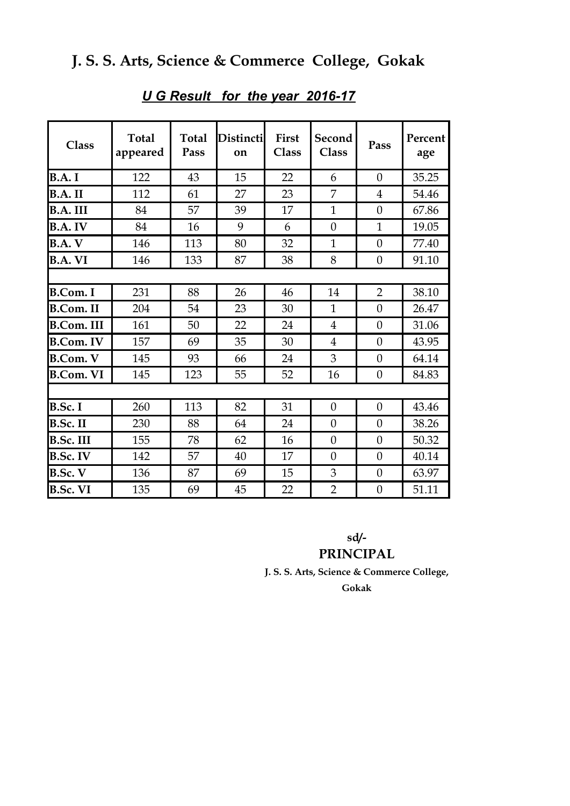| Class             | <b>Total</b><br>appeared | <b>Total</b><br>Pass | <b>Distincti</b><br>on | <b>First</b><br><b>Class</b> | Second<br><b>Class</b> | Pass             | Percent<br>age |
|-------------------|--------------------------|----------------------|------------------------|------------------------------|------------------------|------------------|----------------|
| <b>B.A.I</b>      | 122                      | 43                   | 15                     | 22                           | 6                      | $\overline{0}$   | 35.25          |
| B.A.II            | 112                      | 61                   | 27                     | 23                           | 7                      | $\overline{4}$   | 54.46          |
| B.A. III          | 84                       | 57                   | 39                     | 17                           | $\mathbf{1}$           | $\overline{0}$   | 67.86          |
| B.A. IV           | 84                       | 16                   | 9                      | 6                            | $\overline{0}$         | $\mathbf{1}$     | 19.05          |
| <b>B.A.V</b>      | 146                      | 113                  | 80                     | 32                           | $\mathbf{1}$           | $\overline{0}$   | 77.40          |
| <b>B.A. VI</b>    | 146                      | 133                  | 87                     | 38                           | 8                      | $\theta$         | 91.10          |
|                   |                          |                      |                        |                              |                        |                  |                |
| <b>B.Com. I</b>   | 231                      | 88                   | 26                     | 46                           | 14                     | $\overline{2}$   | 38.10          |
| <b>B.Com. II</b>  | 204                      | 54                   | 23                     | 30                           | $\mathbf{1}$           | $\theta$         | 26.47          |
| <b>B.Com. III</b> | 161                      | 50                   | 22                     | 24                           | $\overline{4}$         | $\overline{0}$   | 31.06          |
| <b>B.Com. IV</b>  | 157                      | 69                   | 35                     | 30                           | $\overline{4}$         | $\overline{0}$   | 43.95          |
| <b>B.Com. V</b>   | 145                      | 93                   | 66                     | 24                           | 3                      | $\overline{0}$   | 64.14          |
| <b>B.Com. VI</b>  | 145                      | 123                  | 55                     | 52                           | 16                     | $\theta$         | 84.83          |
|                   |                          |                      |                        |                              |                        |                  |                |
| <b>B.Sc.I</b>     | 260                      | 113                  | 82                     | 31                           | $\overline{0}$         | $\overline{0}$   | 43.46          |
| <b>B.Sc. II</b>   | 230                      | 88                   | 64                     | 24                           | $\theta$               | $\overline{0}$   | 38.26          |
| <b>B.Sc. III</b>  | 155                      | 78                   | 62                     | 16                           | $\theta$               | $\theta$         | 50.32          |
| <b>B.Sc. IV</b>   | 142                      | 57                   | 40                     | 17                           | $\overline{0}$         | $\theta$         | 40.14          |
| <b>B.Sc. V</b>    | 136                      | 87                   | 69                     | 15                           | 3                      | $\boldsymbol{0}$ | 63.97          |
| <b>B.Sc. VI</b>   | 135                      | 69                   | 45                     | 22                           | $\overline{2}$         | $\overline{0}$   | 51.11          |

#### *U G Result for the year 2016-17*

**sd/-**

#### **PRINCIPAL**

**J. S. S. Arts, Science & Commerce College,**

**Gokak**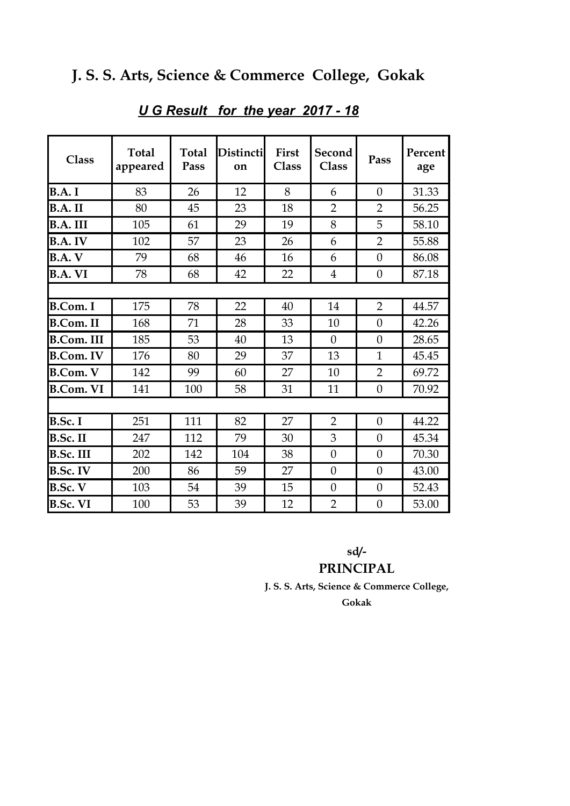| <b>Class</b>      | <b>Total</b><br>appeared | <b>Total</b><br>Pass | Distincti<br>on | First<br><b>Class</b> | Second<br><b>Class</b> | Pass             | Percent<br>age |  |
|-------------------|--------------------------|----------------------|-----------------|-----------------------|------------------------|------------------|----------------|--|
| <b>B.A.I</b>      | 83                       | 26                   | 12              | 8                     | 6                      | $\theta$         | 31.33          |  |
| B.A.II            | 80                       | 45                   | 23              | 18                    | $\overline{2}$         | $\overline{2}$   | 56.25          |  |
| B.A. III          | 105                      | 61                   | 29              | 19                    | 8                      | 5                | 58.10          |  |
| B.A. IV           | 102                      | 57                   | 23              | 26                    | 6                      | $\overline{2}$   | 55.88          |  |
| <b>B.A.V</b>      | 79                       | 68                   | 46              | 16                    | 6                      | $\theta$         | 86.08          |  |
| <b>B.A. VI</b>    | 78                       | 68                   | 42              | 22                    | $\overline{4}$         | $\boldsymbol{0}$ | 87.18          |  |
|                   |                          |                      |                 |                       |                        |                  |                |  |
| <b>B.Com.</b> I   | 175                      | 78                   | 22              | 40                    | 14                     | $\overline{2}$   | 44.57          |  |
| <b>B.Com. II</b>  | 168                      | 71                   | 28              | 33                    | 10                     | $\overline{0}$   | 42.26          |  |
| <b>B.Com. III</b> | 185                      | 53                   | 40              | 13                    | $\theta$               | $\theta$         | 28.65          |  |
| <b>B.Com. IV</b>  | 176                      | 80                   | 29              | 37                    | 13                     | $\mathbf{1}$     | 45.45          |  |
| <b>B.Com. V</b>   | 142                      | 99                   | 60              | 27                    | 10                     | $\overline{2}$   | 69.72          |  |
| <b>B.Com. VI</b>  | 141                      | 100                  | 58              | 31                    | 11                     | $\overline{0}$   | 70.92          |  |
|                   |                          |                      |                 |                       |                        |                  |                |  |
| B.Sc. I           | 251                      | 111                  | 82              | 27                    | $\overline{2}$         | $\theta$         | 44.22          |  |
| B.Sc. II          | 247                      | 112                  | 79              | 30                    | 3                      | $\theta$         | 45.34          |  |
| <b>B.Sc. III</b>  | 202                      | 142                  | 104             | 38                    | $\overline{0}$         | $\theta$         | 70.30          |  |
| <b>B.Sc. IV</b>   | 200                      | 86                   | 59              | 27                    | $\overline{0}$         | $\theta$         | 43.00          |  |
| B.Sc. V           | 103                      | 54                   | 39              | 15                    | $\overline{0}$         | $\theta$         | 52.43          |  |
| <b>B.Sc. VI</b>   | 100                      | 53                   | 39              | 12                    | $\overline{2}$         | $\boldsymbol{0}$ | 53.00          |  |

#### *U G Result for the year 2017 - 18*

**sd/-**

#### **PRINCIPAL**

**J. S. S. Arts, Science & Commerce College,**

**Gokak**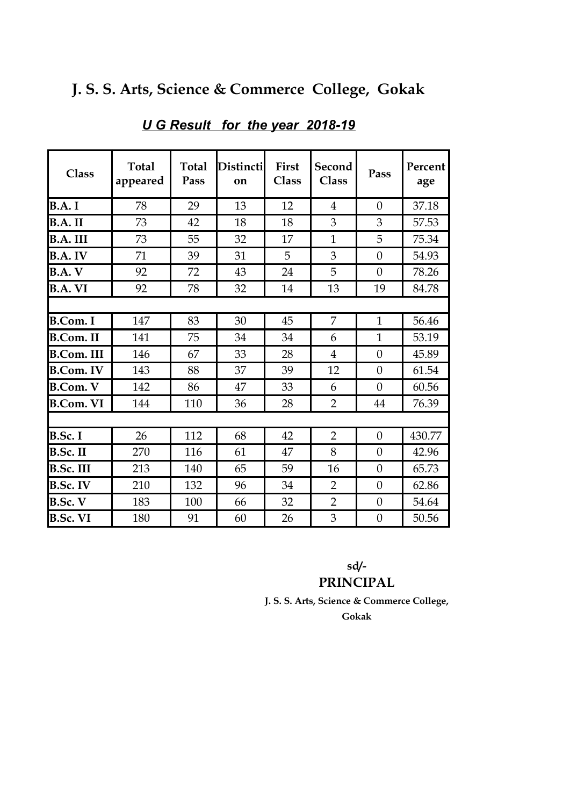| <b>Class</b>      | <b>Total</b><br>appeared | <b>Total</b><br>Pass | <b>Distincti</b><br>on | First<br><b>Class</b> | Second<br><b>Class</b> | Pass             | Percent<br>age |
|-------------------|--------------------------|----------------------|------------------------|-----------------------|------------------------|------------------|----------------|
| <b>B.A.I</b>      | 78                       | 29                   | 13                     | 12                    | $\overline{4}$         | $\overline{0}$   | 37.18          |
| B.A.II            | 73                       | 42                   | 18                     | 18                    | 3                      | 3                | 57.53          |
| B.A. III          | 73                       | 55                   | 32                     | 17                    | $\mathbf{1}$           | 5                | 75.34          |
| <b>B.A. IV</b>    | 71                       | 39                   | 31                     | 5                     | 3                      | $\boldsymbol{0}$ | 54.93          |
| B.A. V            | 92                       | 72                   | 43                     | 24                    | 5                      | $\overline{0}$   | 78.26          |
| <b>B.A. VI</b>    | 92                       | 78                   | 32                     | 14                    | 13                     | 19               | 84.78          |
|                   |                          |                      |                        |                       |                        |                  |                |
| <b>B.Com. I</b>   | 147                      | 83                   | 30                     | 45                    | 7                      | $\mathbf{1}$     | 56.46          |
| <b>B.Com. II</b>  | 141                      | 75                   | 34                     | 34                    | 6                      | $\mathbf{1}$     | 53.19          |
| <b>B.Com. III</b> | 146                      | 67                   | 33                     | 28                    | $\overline{4}$         | $\boldsymbol{0}$ | 45.89          |
| <b>B.Com. IV</b>  | 143                      | 88                   | 37                     | 39                    | 12                     | $\overline{0}$   | 61.54          |
| <b>B.Com. V</b>   | 142                      | 86                   | 47                     | 33                    | 6                      | $\overline{0}$   | 60.56          |
| <b>B.Com. VI</b>  | 144                      | 110                  | 36                     | 28                    | $\overline{2}$         | 44               | 76.39          |
|                   |                          |                      |                        |                       |                        |                  |                |
| B.Sc. I           | 26                       | 112                  | 68                     | 42                    | $\overline{2}$         | $\boldsymbol{0}$ | 430.77         |
| <b>B.Sc. II</b>   | 270                      | 116                  | 61                     | 47                    | 8                      | $\overline{0}$   | 42.96          |
| <b>B.Sc. III</b>  | 213                      | 140                  | 65                     | 59                    | 16                     | $\theta$         | 65.73          |
| <b>B.Sc. IV</b>   | 210                      | 132                  | 96                     | 34                    | $\overline{2}$         | $\boldsymbol{0}$ | 62.86          |
| <b>B.Sc. V</b>    | 183                      | 100                  | 66                     | 32                    | $\overline{2}$         | $\theta$         | 54.64          |
| <b>B.Sc. VI</b>   | 180                      | 91                   | 60                     | 26                    | 3                      | $\boldsymbol{0}$ | 50.56          |

## *U G Result for the year 2018-19*

#### **sd/- PRINCIPAL**

**J. S. S. Arts, Science & Commerce College,**

**Gokak**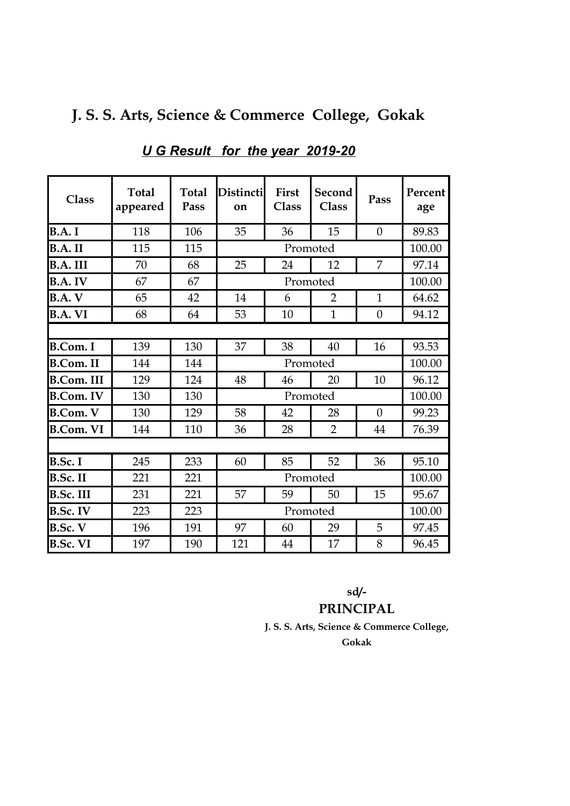|  |  |  |  |  |  |  | J. S. S. Arts, Science & Commerce College, Gokak |  |  |  |
|--|--|--|--|--|--|--|--------------------------------------------------|--|--|--|
|--|--|--|--|--|--|--|--------------------------------------------------|--|--|--|

| <b>Class</b>      | <b>Total</b><br>appeared | <b>Total</b><br>Pass | Distincti<br>on      | First<br><b>Class</b>               | Second<br><b>Class</b> | Pass             | Percent<br>age |  |
|-------------------|--------------------------|----------------------|----------------------|-------------------------------------|------------------------|------------------|----------------|--|
| B.A.I             | 118                      | 106                  | 35                   | 36                                  | 15                     | $\boldsymbol{0}$ | 89.83          |  |
| B.A.II            | 115                      | 115                  |                      | Promoted                            |                        |                  |                |  |
| <b>B.A. III</b>   | 70                       | 68                   | 25                   | 24                                  | 12                     | 7                | 97.14          |  |
| <b>B.A.IV</b>     | 67                       | 67                   |                      | Promoted                            |                        |                  |                |  |
| <b>B.A.V</b>      | 65                       | 42                   | 14                   | $\mathbf{1}$<br>6<br>$\overline{2}$ |                        |                  | 64.62          |  |
| <b>B.A. VI</b>    | 68                       | 64                   | 53                   | 10                                  | $\mathbf{1}$           | $\theta$         | 94.12          |  |
|                   |                          |                      |                      |                                     |                        |                  |                |  |
| <b>B.Com.</b> I   | 139                      | 130                  | 37                   | 38                                  | 40                     | 16               | 93.53          |  |
| <b>B.Com. II</b>  | 144                      | 144                  | Promoted             |                                     |                        |                  | 100.00         |  |
| <b>B.Com. III</b> | 129                      | 124                  | 48                   | 46<br>20                            |                        | 10               | 96.12          |  |
| <b>B.Com. IV</b>  | 130                      | 130                  | Promoted             |                                     |                        |                  | 100.00         |  |
| <b>B.Com. V</b>   | 130                      | 129                  | 58                   | $\theta$<br>42<br>28                |                        |                  | 99.23          |  |
| <b>B.Com. VI</b>  | 144                      | 110                  | 36                   | $\overline{2}$<br>28                |                        | 44               | 76.39          |  |
|                   |                          |                      |                      |                                     |                        |                  |                |  |
| B.Sc. I           | 245                      | 233                  | 60                   | 85                                  | 52                     | 36               | 95.10          |  |
| <b>B.Sc. II</b>   | 221                      | 221                  | Promoted             |                                     |                        | 100.00           |                |  |
| <b>B.Sc. III</b>  | 231                      | 221                  | 15<br>57<br>59<br>50 |                                     |                        |                  | 95.67          |  |
| <b>B.Sc. IV</b>   | 223                      | 223                  |                      |                                     | Promoted               |                  | 100.00         |  |
| <b>B.Sc. V</b>    | 196                      | 191                  | 97                   | 60                                  | 29                     | 5                | 97.45          |  |
| <b>B.Sc. VI</b>   | 197                      | 190                  | 121                  | 8<br>17<br>44                       |                        |                  |                |  |

### *U G Result for the year 2019-20*

**sd/- PRINCIPAL**

**J. S. S. Arts, Science & Commerce College, Gokak**